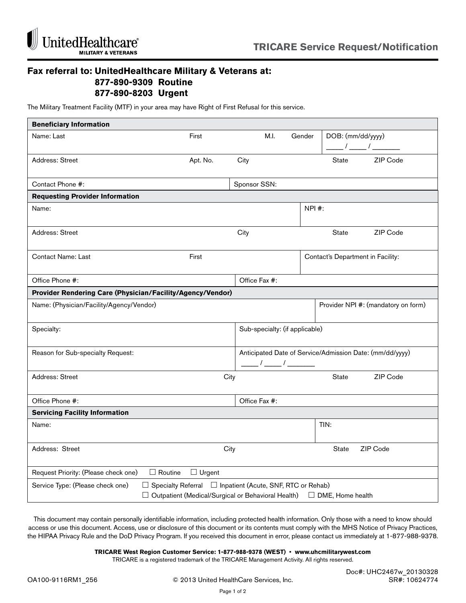

## **Fax referral to: UnitedHealthcare Military & Veterans at: 877-890-9309 Routine 877-890-8203 Urgent**

The Military Treatment Facility (MTF) in your area may have Right of First Refusal for this service.

| <b>Beneficiary Information</b>                                                                                                                                                        |          |                                |        |                                                          |  |  |
|---------------------------------------------------------------------------------------------------------------------------------------------------------------------------------------|----------|--------------------------------|--------|----------------------------------------------------------|--|--|
| Name: Last                                                                                                                                                                            | First    | M.I.                           | Gender | DOB: (mm/dd/yyyy)<br>$\frac{1}{\sqrt{2}}$                |  |  |
| Address: Street                                                                                                                                                                       | Apt. No. | City                           |        | State<br>ZIP Code                                        |  |  |
| Contact Phone #:                                                                                                                                                                      |          | Sponsor SSN:                   |        |                                                          |  |  |
| <b>Requesting Provider Information</b>                                                                                                                                                |          |                                |        |                                                          |  |  |
| Name:                                                                                                                                                                                 |          |                                | NPI #: |                                                          |  |  |
| Address: Street                                                                                                                                                                       |          | City                           |        | ZIP Code<br><b>State</b>                                 |  |  |
| <b>Contact Name: Last</b>                                                                                                                                                             | First    |                                |        | Contact's Department in Facility:                        |  |  |
| Office Phone #:                                                                                                                                                                       |          | Office Fax #:                  |        |                                                          |  |  |
| Provider Rendering Care (Physician/Facility/Agency/Vendor)                                                                                                                            |          |                                |        |                                                          |  |  |
| Name: (Physician/Facility/Agency/Vendor)                                                                                                                                              |          |                                |        | Provider NPI #: (mandatory on form)                      |  |  |
| Specialty:                                                                                                                                                                            |          | Sub-specialty: (if applicable) |        |                                                          |  |  |
| Reason for Sub-specialty Request:                                                                                                                                                     |          | $\frac{1}{\sqrt{2\pi}}$        |        | Anticipated Date of Service/Admission Date: (mm/dd/yyyy) |  |  |
| Address: Street                                                                                                                                                                       | City     |                                |        | State<br>ZIP Code                                        |  |  |
| Office Phone #:                                                                                                                                                                       |          | Office Fax #:                  |        |                                                          |  |  |
| <b>Servicing Facility Information</b>                                                                                                                                                 |          |                                |        |                                                          |  |  |
| Name:                                                                                                                                                                                 |          |                                |        | TIN:                                                     |  |  |
| Address: Street                                                                                                                                                                       | City     |                                |        | ZIP Code<br><b>State</b>                                 |  |  |
| Request Priority: (Please check one)<br>$\Box$ Routine<br>$\Box$ Urgent                                                                                                               |          |                                |        |                                                          |  |  |
| Service Type: (Please check one)<br>$\Box$ Specialty Referral $\Box$ Inpatient (Acute, SNF, RTC or Rehab)<br>□ Outpatient (Medical/Surgical or Behavioral Health)<br>DME, Home health |          |                                |        |                                                          |  |  |

This document may contain personally identifiable information, including protected health information. Only those with a need to know should access or use this document. Access, use or disclosure of this document or its contents must comply with the MHS Notice of Privacy Practices, the HIPAA Privacy Rule and the DoD Privacy Program. If you received this document in error, please contact us immediately at 1-877-988-9378.

**TRICARE West Region Customer Service: 1-877-988-9378 (WEST) • www.uhcmilitarywest.com** 

TRICARE is a registered trademark of the TRICARE Management Activity. All rights reserved.